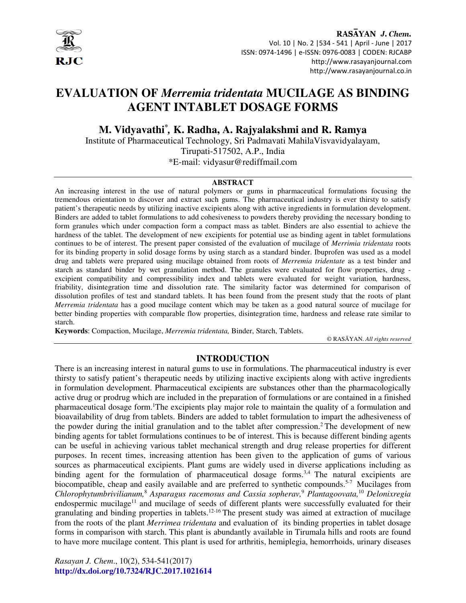

RASAYAN J. Chem. Vol. 10 | No. 2 |534 - 541 | April - June | 2017 ISSN: 0974-1496 | e-ISSN: 0976-0083 | CODEN: RJCABP http://www.rasayanjournal.com http://www.rasayanjournal.co.in

# **EVALUATION OF** *Merremia tridentata* **MUCILAGE AS BINDING AGENT INTABLET DOSAGE FORMS**

**M. Vidyavathi\*** *,* **K. Radha, A. Rajyalakshmi and R. Ramya**

Institute of Pharmaceutical Technology, Sri Padmavati MahilaVisvavidyalayam, Tirupati-517502, A.P., India \*E-mail: vidyasur@rediffmail.com

#### **ABSTRACT**

An increasing interest in the use of natural polymers or gums in pharmaceutical formulations focusing the tremendous orientation to discover and extract such gums. The pharmaceutical industry is ever thirsty to satisfy patient's therapeutic needs by utilizing inactive excipients along with active ingredients in formulation development. Binders are added to tablet formulations to add cohesiveness to powders thereby providing the necessary bonding to form granules which under compaction form a compact mass as tablet. Binders are also essential to achieve the hardness of the tablet. The development of new excipients for potential use as binding agent in tablet formulations continues to be of interest. The present paper consisted of the evaluation of mucilage of *Merrimia tridentata* roots for its binding property in solid dosage forms by using starch as a standard binder. Ibuprofen was used as a model drug and tablets were prepared using mucilage obtained from roots of *Merremia tridentate* as a test binder and starch as standard binder by wet granulation method. The granules were evaluated for flow properties, drug excipient compatibility and compressibility index and tablets were evaluated for weight variation*,* hardness, friability, disintegration time and dissolution rate. The similarity factor was determined for comparison of dissolution profiles of test and standard tablets. It has been found from the present study that the roots of plant *Merremia tridentata* has a good mucilage content which may be taken as a good natural source of mucilage for better binding properties with comparable flow properties, disintegration time, hardness and release rate similar to starch.

**Keywords**: Compaction, Mucilage, *Merremia tridentata,* Binder, Starch, Tablets.

© RASĀYAN. *All rights reserved*

#### **INTRODUCTION**

There is an increasing interest in natural gums to use in formulations. The pharmaceutical industry is ever thirsty to satisfy patient's therapeutic needs by utilizing inactive excipients along with active ingredients in formulation development. Pharmaceutical excipients are substances other than the pharmacologically active drug or prodrug which are included in the preparation of formulations or are contained in a finished pharmaceutical dosage form.<sup>1</sup>The excipients play major role to maintain the quality of a formulation and bioavailability of drug from tablets. Binders are added to tablet formulation to impart the adhesiveness of the powder during the initial granulation and to the tablet after compression.<sup>2</sup> The development of new binding agents for tablet formulations continues to be of interest. This is because different binding agents can be useful in achieving various tablet mechanical strength and drug release properties for different purposes. In recent times, increasing attention has been given to the application of gums of various sources as pharmaceutical excipients. Plant gums are widely used in diverse applications including as binding agent for the formulation of pharmaceutical dosage forms.<sup>3,4</sup> The natural excipients are biocompatible, cheap and easily available and are preferred to synthetic compounds.<sup>5-7</sup> Mucilages from *Chlorophytumbrivilianum,*<sup>8</sup>  *Asparagus racemosus and Cassia sopherav,*<sup>9</sup>  *Plantagoovata,*<sup>10</sup> *Delonixregia*  endospermic mucilage<sup>11</sup> and mucilage of seeds of different plants were successfully evaluated for their granulating and binding properties in tablets.<sup>12-16</sup> The present study was aimed at extraction of mucilage from the roots of the plant *Merrimea tridentata* and evaluation of its binding properties in tablet dosage forms in comparison with starch. This plant is abundantly available in Tirumala hills and roots are found to have more mucilage content. This plant is used for arthritis, hemiplegia, hemorrhoids, urinary diseases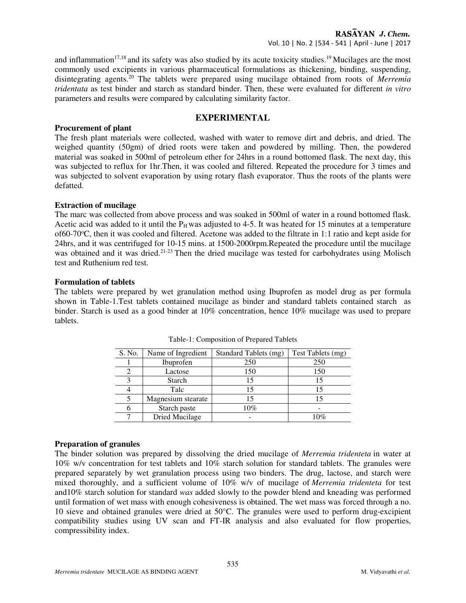and inflammation<sup>17,18</sup> and its safety was also studied by its acute toxicity studies.<sup>19</sup> Mucilages are the most commonly used excipients in various pharmaceutical formulations as thickening, binding, suspending, disintegrating agents.<sup>20</sup> The tablets were prepared using mucilage obtained from roots of *Merremia tridentata* as test binder and starch as standard binder. Then, these were evaluated for different *in vitro* parameters and results were compared by calculating similarity factor.

#### **EXPERIMENTAL**

#### **Procurement of plant**

The fresh plant materials were collected, washed with water to remove dirt and debris, and dried. The weighed quantity (50gm) of dried roots were taken and powdered by milling. Then, the powdered material was soaked in 500ml of petroleum ether for 24hrs in a round bottomed flask. The next day, this was subjected to reflux for 1hr.Then, it was cooled and filtered. Repeated the procedure for 3 times and was subjected to solvent evaporation by using rotary flash evaporator. Thus the roots of the plants were defatted.

## **Extraction of mucilage**

The marc was collected from above process and was soaked in 500ml of water in a round bottomed flask. Acetic acid was added to it until the  $P<sub>H</sub>$  was adjusted to 4-5. It was heated for 15 minutes at a temperature of60-70°C, then it was cooled and filtered. Acetone was added to the filtrate in 1:1 ratio and kept aside for 24hrs, and it was centrifuged for 10-15 mins. at 1500-2000rpm.Repeated the procedure until the mucilage was obtained and it was dried.<sup>21-23</sup> Then the dried mucilage was tested for carbohydrates using Molisch test and Ruthenium red test.

#### **Formulation of tablets**

The tablets were prepared by wet granulation method using Ibuprofen as model drug as per formula shown in Table-1.Test tablets contained mucilage as binder and standard tablets contained starch as binder. Starch is used as a good binder at 10% concentration, hence 10% mucilage was used to prepare tablets.

| S. No. | Name of Ingredient | Standard Tablets (mg) | Test Tablets (mg) |
|--------|--------------------|-----------------------|-------------------|
|        | Ibuprofen          | 250                   | 250               |
|        | Lactose            | 150                   | 150               |
|        | <b>Starch</b>      |                       |                   |
|        | Talc               | 15                    | 15                |
|        | Magnesium stearate |                       |                   |
|        | Starch paste       | 10%                   |                   |
|        | Dried Mucilage     |                       | 10%               |

Table-1: Composition of Prepared Tablets

# **Preparation of granules**

The binder solution was prepared by dissolving the dried mucilage of *Merremia tridenteta* in water at 10% w/v concentration for test tablets and 10% starch solution for standard tablets. The granules were prepared separately by wet granulation process using two binders. The drug, lactose, and starch were mixed thoroughly, and a sufficient volume of 10% w/v of mucilage of *Merremia tridenteta* for test and10% starch solution for standard *was* added slowly to the powder blend and kneading was performed until formation of wet mass with enough cohesiveness is obtained. The wet mass was forced through a no. 10 sieve and obtained granules were dried at 50°C. The granules were used to perform drug-excipient compatibility studies using UV scan and FT-IR analysis and also evaluated for flow properties, compressibility index.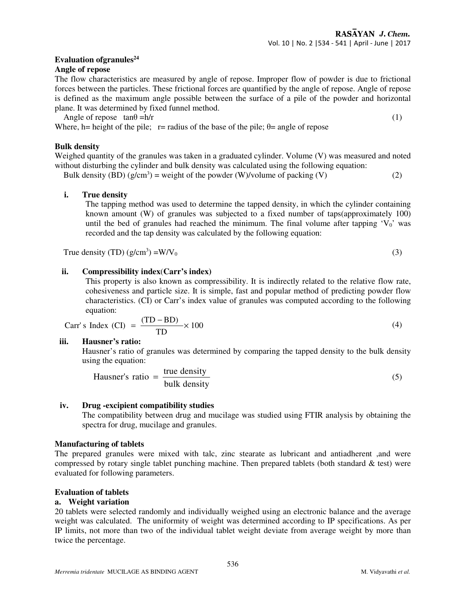## **Evaluation ofgranules<sup>24</sup>**

#### **Angle of repose**

The flow characteristics are measured by angle of repose. Improper flow of powder is due to frictional forces between the particles. These frictional forces are quantified by the angle of repose. Angle of repose is defined as the maximum angle possible between the surface of a pile of the powder and horizontal plane. It was determined by fixed funnel method.

Angle of repose  $\tan\theta = h/r$  (1)

Where, h= height of the pile;  $r=$  radius of the base of the pile;  $\theta$ = angle of repose

#### **Bulk density**

Weighed quantity of the granules was taken in a graduated cylinder. Volume (V) was measured and noted without disturbing the cylinder and bulk density was calculated using the following equation:

Bulk density (BD)  $(g/cm^3)$  = weight of the powder (W)/volume of packing (V) (2)

# **i. True density**

 The tapping method was used to determine the tapped density, in which the cylinder containing known amount (W) of granules was subjected to a fixed number of taps(approximately 100) until the bed of granules had reached the minimum. The final volume after tapping  $V_0$ ' was recorded and the tap density was calculated by the following equation:

True d

$$
density (TD) (g/cm3) = W/V0
$$
 (3)

## **ii. Compressibility index**(**Carr's index)**

This property is also known as compressibility. It is indirectly related to the relative flow rate, cohesiveness and particle size. It is simple, fast and popular method of predicting powder flow characteristics. (CI) or Carr's index value of granules was computed according to the following equation:

Carr's Index (CI) = 
$$
\frac{(TD - BD)}{TD} \times 100
$$
 (4)

#### **iii. Hausner's ratio:**

Hausner's ratio of granules was determined by comparing the tapped density to the bulk density using the equation:

Hausner's ratio = 
$$
\frac{\text{true density}}{\text{bulk density}}
$$

\n(5)

#### **iv. Drug -excipient compatibility studies**

The compatibility between drug and mucilage was studied using FTIR analysis by obtaining the spectra for drug, mucilage and granules.

#### **Manufacturing of tablets**

The prepared granules were mixed with talc, zinc stearate as lubricant and antiadherent ,and were compressed by rotary single tablet punching machine. Then prepared tablets (both standard & test) were evaluated for following parameters.

#### **Evaluation of tablets**

#### **a. Weight variation**

20 tablets were selected randomly and individually weighed using an electronic balance and the average weight was calculated. The uniformity of weight was determined according to IP specifications. As per IP limits, not more than two of the individual tablet weight deviate from average weight by more than twice the percentage.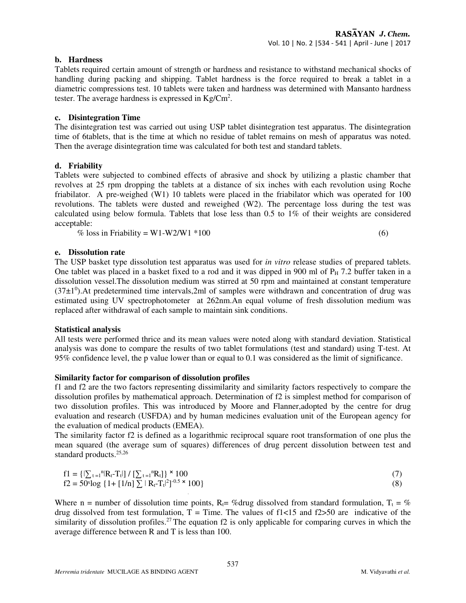#### **b. Hardness**

Tablets required certain amount of strength or hardness and resistance to withstand mechanical shocks of handling during packing and shipping. Tablet hardness is the force required to break a tablet in a diametric compressions test. 10 tablets were taken and hardness was determined with Mansanto hardness tester. The average hardness is expressed in  $\text{Kg}/\text{Cm}^2$ .

#### **c. Disintegration Time**

The disintegration test was carried out using USP tablet disintegration test apparatus. The disintegration time of 6tablets, that is the time at which no residue of tablet remains on mesh of apparatus was noted. Then the average disintegration time was calculated for both test and standard tablets.

#### **d. Friability**

Tablets were subjected to combined effects of abrasive and shock by utilizing a plastic chamber that revolves at 25 rpm dropping the tablets at a distance of six inches with each revolution using Roche friabilator. A pre-weighed (W1) 10 tablets were placed in the friabilator which was operated for 100 revolutions. The tablets were dusted and reweighed (W2). The percentage loss during the test was calculated using below formula. Tablets that lose less than 0.5 to 1% of their weights are considered acceptable:

% loss in Friability =  $W1-W2/W1$  \*100 (6)

#### **e. Dissolution rate**

The USP basket type dissolution test apparatus was used for *in vitro* release studies of prepared tablets. One tablet was placed in a basket fixed to a rod and it was dipped in 900 ml of  $P_H$  7.2 buffer taken in a dissolution vessel.The dissolution medium was stirred at 50 rpm and maintained at constant temperature  $(37\pm1^0)$ . At predetermined time intervals, 2ml of samples were withdrawn and concentration of drug was estimated using UV spectrophotometer at 262nm.An equal volume of fresh dissolution medium was replaced after withdrawal of each sample to maintain sink conditions.

#### **Statistical analysis**

All tests were performed thrice and its mean values were noted along with standard deviation. Statistical analysis was done to compare the results of two tablet formulations (test and standard) using T-test. At 95% confidence level, the p value lower than or equal to 0.1 was considered as the limit of significance.

#### **Similarity factor for comparison of dissolution profiles**

f1 and f2 are the two factors representing dissimilarity and similarity factors respectively to compare the dissolution profiles by mathematical approach. Determination of f2 is simplest method for comparison of two dissolution profiles. This was introduced by Moore and Flanner,adopted by the centre for drug evaluation and research (USFDA) and by human medicines evaluation unit of the European agency for the evaluation of medical products (EMEA).

The similarity factor f2 is defined as a logarithmic reciprocal square root transformation of one plus the mean squared (the average sum of squares) differences of drug percent dissolution between test and standard products.<sup>25,26</sup>

$$
f1 = \{|\sum_{t=1}^{n}|R_t - T_t|\} / [\sum_{t=1}^{n}R_t]\} \times 100
$$
  
f2 = 50<sup>x</sup>log {1 + [1/n]}  $\sum |R_t - T_t|^2$ ]<sup>-0.5</sup> × 100} (8)

Where n = number of dissolution time points,  $R_t = \%$ drug dissolved from standard formulation,  $T_t = \%$ drug dissolved from test formulation,  $T =$  Time. The values of f1<15 and f2>50 are indicative of the similarity of dissolution profiles.<sup>27</sup>The equation f2 is only applicable for comparing curves in which the average difference between R and T is less than 100.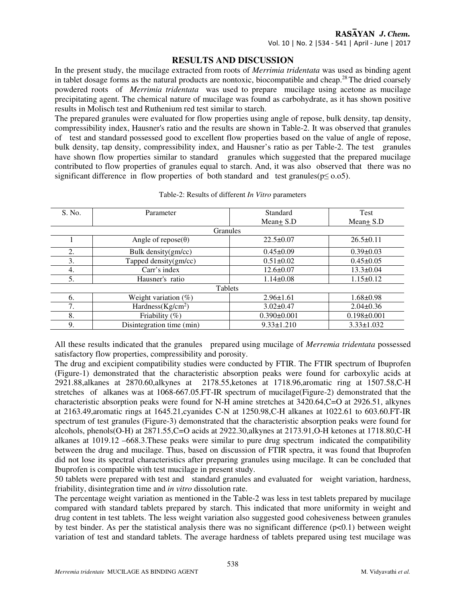#### **RESULTS AND DISCUSSION**

In the present study, the mucilage extracted from roots of *Merrimia tridentata* was used as binding agent in tablet dosage forms as the natural products are nontoxic, biocompatible and cheap.<sup>28</sup> The dried coarsely powdered roots of *Merrimia tridentata* was used to prepare mucilage using acetone as mucilage precipitating agent. The chemical nature of mucilage was found as carbohydrate, as it has shown positive results in Molisch test and Ruthenium red test similar to starch.

The prepared granules were evaluated for flow properties using angle of repose, bulk density, tap density, compressibility index, Hausner's ratio and the results are shown in Table-2. It was observed that granules of test and standard possessed good to excellent flow properties based on the value of angle of repose, bulk density, tap density, compressibility index, and Hausner's ratio as per Table-2. The test granules have shown flow properties similar to standard granules which suggested that the prepared mucilage contributed to flow properties of granules equal to starch. And, it was also observed that there was no significant difference in flow properties of both standard and test granules( $p \le 0.05$ ).

| S. No.          | Parameter                  | Standard          | <b>Test</b>       |  |  |  |
|-----------------|----------------------------|-------------------|-------------------|--|--|--|
|                 |                            | Mean $+$ S.D      | $Mean \pm S.D$    |  |  |  |
| <b>Granules</b> |                            |                   |                   |  |  |  |
|                 | Angle of repose $(\theta)$ | $22.5 \pm 0.07$   | $26.5 \pm 0.11$   |  |  |  |
| 2.              | Bulk density(gm/cc)        | $0.45 \pm 0.09$   | $0.39 \pm 0.03$   |  |  |  |
| 3.              | Tapped density(gm/cc)      | $0.51 \pm 0.02$   | $0.45 \pm 0.05$   |  |  |  |
| 4.              | Carr's index               | $12.6 \pm 0.07$   | $13.3 \pm 0.04$   |  |  |  |
| 5.              | Hausner's ratio            | $1.14\pm0.08$     |                   |  |  |  |
| Tablets         |                            |                   |                   |  |  |  |
| 6.              | Weight variation $(\%)$    | $2.96 \pm 1.61$   | $1.68 \pm 0.98$   |  |  |  |
| 7.              | Hardness $(Kg/cm2)$        | $3.02 \pm 0.47$   | $2.04\pm0.36$     |  |  |  |
| 8.              | Friability $(\%)$          | $0.390 \pm 0.001$ | $0.198 \pm 0.001$ |  |  |  |
| 9.              | Disintegration time (min)  | $9.33 \pm 1.210$  | $3.33 \pm 1.032$  |  |  |  |

#### Table-2: Results of different *In Vitro* parameters

All these results indicated that the granules prepared using mucilage of *Merremia tridentata* possessed satisfactory flow properties, compressibility and porosity.

The drug and excipient compatibility studies were conducted by FTIR. The FTIR spectrum of Ibuprofen (Figure-1) demonstrated that the characteristic absorption peaks were found for carboxylic acids at 2921.88,alkanes at 2870.60,alkynes at 2178.55,ketones at 1718.96,aromatic ring at 1507.58,C-H stretches of alkanes was at 1068-667.05.FT-IR spectrum of mucilage(Figure-2) demonstrated that the characteristic absorption peaks were found for N-H amine stretches at 3420.64,C=O at 2926.51, alkynes at 2163.49,aromatic rings at 1645.21,cyanides C-N at 1250.98,C-H alkanes at 1022.61 to 603.60.FT-IR spectrum of test granules (Figure-3) demonstrated that the characteristic absorption peaks were found for alcohols, phenols(O-H) at 2871.55,C=O acids at 2922.30,alkynes at 2173.91,O-H ketones at 1718.80,C-H alkanes at 1019.12 –668.3.These peaks were similar to pure drug spectrum indicated the compatibility between the drug and mucilage. Thus, based on discussion of FTIR spectra, it was found that Ibuprofen did not lose its spectral characteristics after preparing granules using mucilage. It can be concluded that Ibuprofen is compatible with test mucilage in present study.

50 tablets were prepared with test and standard granules and evaluated for weight variation, hardness, friability, disintegration time and *in vitro* dissolution rate.

The percentage weight variation as mentioned in the Table-2 was less in test tablets prepared by mucilage compared with standard tablets prepared by starch. This indicated that more uniformity in weight and drug content in test tablets. The less weight variation also suggested good cohesiveness between granules by test binder. As per the statistical analysis there was no significant difference (p<0.1) between weight variation of test and standard tablets. The average hardness of tablets prepared using test mucilage was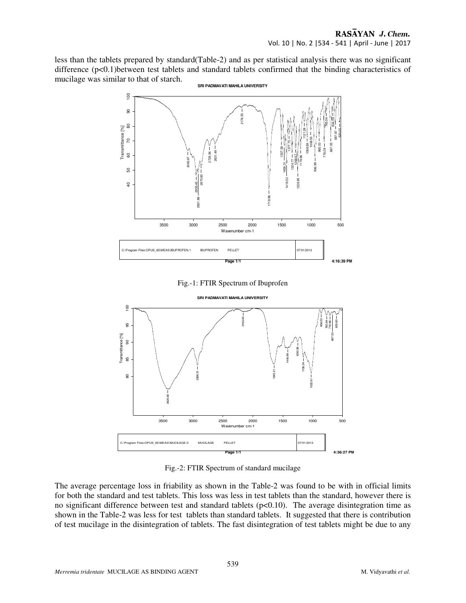less than the tablets prepared by standard(Table-2) and as per statistical analysis there was no significant difference (p<0.1) between test tablets and standard tablets confirmed that the binding characteristics of mucilage was similar to that of starch.



Fig.-1: FTIR Spectrum of Ibuprofen



Fig.-2: FTIR Spectrum of standard mucilage

The average percentage loss in friability as shown in the Table-2 was found to be with in official limits for both the standard and test tablets. This loss was less in test tablets than the standard, however there is no significant difference between test and standard tablets  $(p<0.10)$ . The average disintegration time as shown in the Table-2 was less for test tablets than standard tablets. It suggested that there is contribution of test mucilage in the disintegration of tablets. The fast disintegration of test tablets might be due to any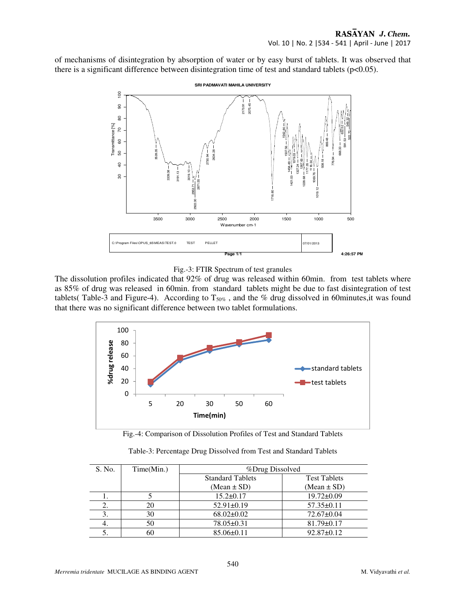of mechanisms of disintegration by absorption of water or by easy burst of tablets. It was observed that there is a significant difference between disintegration time of test and standard tablets  $(p<0.05)$ .



Fig.-3: FTIR Spectrum of test granules

The dissolution profiles indicated that 92% of drug was released within 60min. from test tablets where as 85% of drug was released in 60min. from standard tablets might be due to fast disintegration of test tablets( Table-3 and Figure-4). According to  $T_{50\%}$ , and the % drug dissolved in 60minutes, it was found that there was no significant difference between two tablet formulations.



Fig.-4: Comparison of Dissolution Profiles of Test and Standard Tablets

| S. No. | Time(Min.) | <i>%Drug Dissolved</i>  |                     |
|--------|------------|-------------------------|---------------------|
|        |            | <b>Standard Tablets</b> | <b>Test Tablets</b> |
|        |            | (Mean $\pm$ SD)         | (Mean $\pm$ SD)     |
|        |            | $15.2 \pm 0.17$         | $19.72 \pm 0.09$    |
| 2.     | 20         | $52.91 \pm 0.19$        | $57.35 \pm 0.11$    |
|        | 30         | $68.02 \pm 0.02$        | $72.67 \pm 0.04$    |
| 4.     | 50         | $78.05 \pm 0.31$        | $81.79 \pm 0.17$    |
| C.     | 60         | $85.06\pm0.11$          | $92.87 \pm 0.12$    |

Table-3: Percentage Drug Dissolved from Test and Standard Tablets